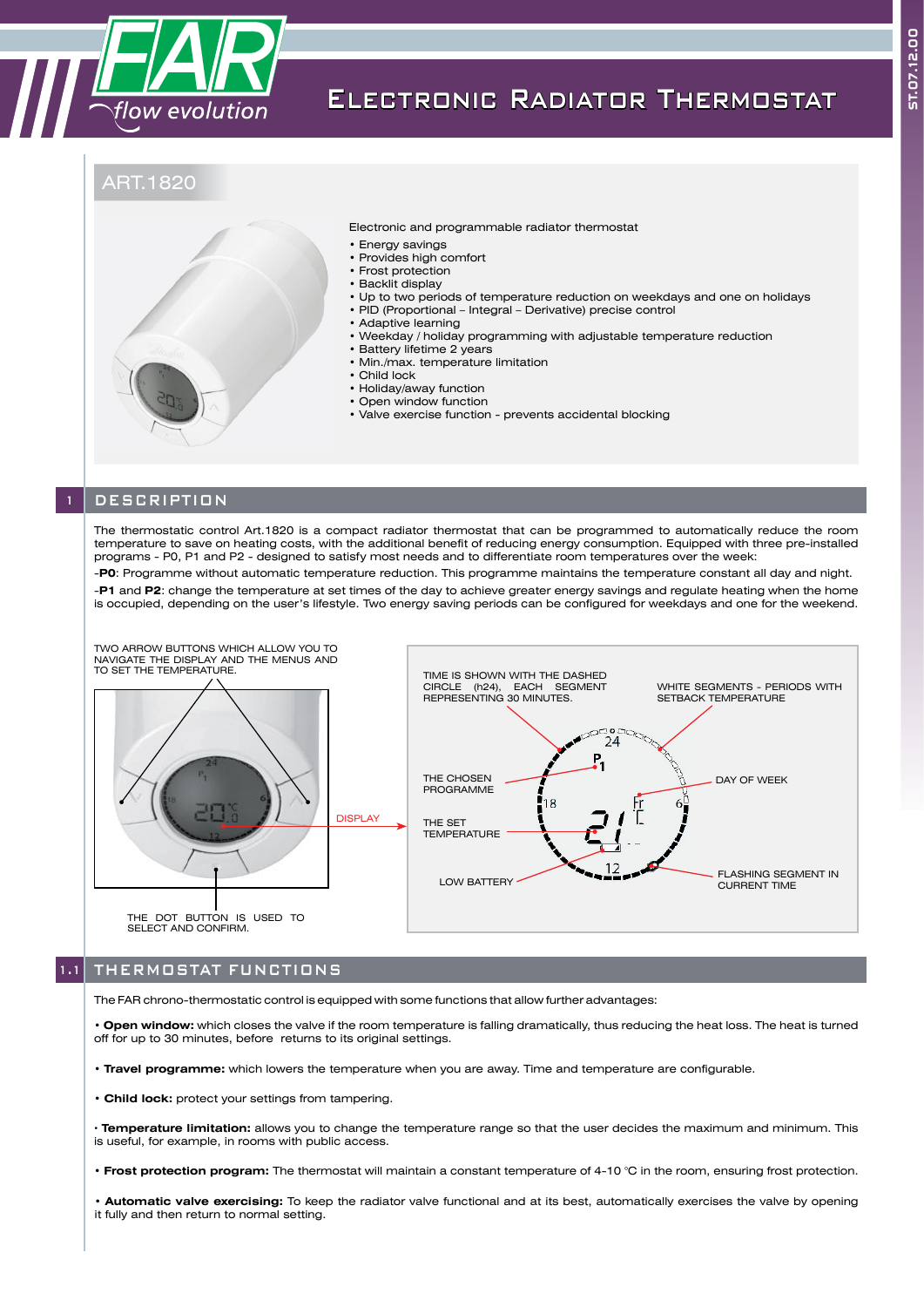

## Electronic Radiator Thermostat

### ART.1820



Electronic and programmable radiator thermostat

- Energy savings
- Provides high comfort
- Frost protection
- Backlit display
- Up to two periods of temperature reduction on weekdays and one on holidays
- PID (Proportional Integral Derivative) precise control • Adaptive learning
- Weekday / holiday programming with adjustable temperature reduction
- Battery lifetime 2 years
- Min./max. temperature limitation
- Child lock
- Holiday/away function
- Open window function
- Valve exercise function prevents accidental blocking

### **DESCRIPTION**

The thermostatic control Art.1820 is a compact radiator thermostat that can be programmed to automatically reduce the room temperature to save on heating costs, with the additional benefit of reducing energy consumption. Equipped with three pre-installed programs - P0, P1 and P2 - designed to satisfy most needs and to differentiate room temperatures over the week:

-**P0**: Programme without automatic temperature reduction. This programme maintains the temperature constant all day and night. -**P1** and **P2**: change the temperature at set times of the day to achieve greater energy savings and regulate heating when the home is occupied, depending on the user's lifestyle. Two energy saving periods can be configured for weekdays and one for the weekend.



#### 1.1 THERMOSTAT FUNCTIONS

The FAR chrono-thermostatic control is equipped with some functions that allow further advantages:

• **Open window:** which closes the valve if the room temperature is falling dramatically, thus reducing the heat loss. The heat is turned off for up to 30 minutes, before returns to its original settings.

• **Travel programme:** which lowers the temperature when you are away. Time and temperature are configurable.

- **Child lock:** protect your settings from tampering.
- **· Temperature limitation:** allows you to change the temperature range so that the user decides the maximum and minimum. This is useful, for example, in rooms with public access.
- **Frost protection program:** The thermostat will maintain a constant temperature of 4-10 °C in the room, ensuring frost protection.

• **Automatic valve exercising:** To keep the radiator valve functional and at its best, automatically exercises the valve by opening it fully and then return to normal setting.